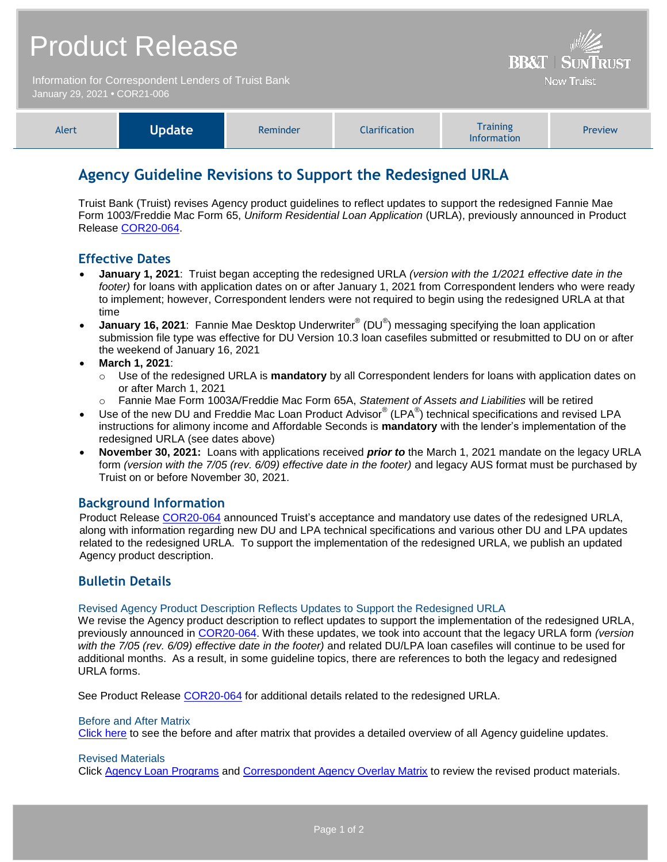| <b>Product Release</b><br>Information for Correspondent Lenders of Truist Bank |               |          |                      | <b>BB&amp;T   SUNTRUST</b><br><b>Now Truist</b> |         |
|--------------------------------------------------------------------------------|---------------|----------|----------------------|-------------------------------------------------|---------|
| January 29, 2021 . COR21-006<br>Alert                                          | <b>Update</b> | Reminder | <b>Clarification</b> | <b>Training</b>                                 | Preview |
|                                                                                |               |          |                      | Information                                     |         |

# **Agency Guideline Revisions to Support the Redesigned URLA**

Truist Bank (Truist) revises Agency product guidelines to reflect updates to support the redesigned Fannie Mae Form 1003/Freddie Mac Form 65, *Uniform Residential Loan Application* (URLA), previously announced in Product Release [COR20-064.](https://www.truistsellerguide.com/Manual/cor/bulletins/archive/Cr20-064.pdf)

## **Effective Dates**

- **January 1, 2021**: Truist began accepting the redesigned URLA *(version with the 1/2021 effective date in the footer)* for loans with application dates on or after January 1, 2021 from Correspondent lenders who were ready to implement; however, Correspondent lenders were not required to begin using the redesigned URLA at that time
- **January 16, 2021**: Fannie Mae Desktop Underwriter<sup>®</sup> (DU<sup>®</sup>) messaging specifying the loan application submission file type was effective for DU Version 10.3 loan casefiles submitted or resubmitted to DU on or after the weekend of January 16, 2021
- **March 1, 2021**:
	- o Use of the redesigned URLA is **mandatory** by all Correspondent lenders for loans with application dates on or after March 1, 2021
		- o Fannie Mae Form 1003A/Freddie Mac Form 65A, *Statement of Assets and Liabilities* will be retired
- Use of the new DU and Freddie Mac Loan Product Advisor® (LPA®) technical specifications and revised LPA instructions for alimony income and Affordable Seconds is **mandatory** with the lender's implementation of the redesigned URLA (see dates above)
- **November 30, 2021:** Loans with applications received *prior to* the March 1, 2021 mandate on the legacy URLA form *(version with the 7/05 (rev. 6/09) effective date in the footer)* and legacy AUS format must be purchased by Truist on or before November 30, 2021.

#### **Background Information**

Product Release [COR20-064](https://www.truistsellerguide.com/Manual/cor/bulletins/archive/Cr20-064.pdf) announced Truist's acceptance and mandatory use dates of the redesigned URLA, along with information regarding new DU and LPA technical specifications and various other DU and LPA updates related to the redesigned URLA. To support the implementation of the redesigned URLA, we publish an updated Agency product description.

## **Bulletin Details**

#### Revised Agency Product Description Reflects Updates to Support the Redesigned URLA

We revise the Agency product description to reflect updates to support the implementation of the redesigned URLA, previously announced in [COR20-064.](https://www.truistsellerguide.com/Manual/cor/bulletins/archive/Cr20-064.pdf) With these updates, we took into account that the legacy URLA form *(version with the 7/05 (rev. 6/09) effective date in the footer)* and related DU/LPA loan casefiles will continue to be used for additional months. As a result, in some guideline topics, there are references to both the legacy and redesigned URLA forms.

See Product Release [COR20-064](https://www.truistsellerguide.com/Manual/cor/bulletins/archive/Cr20-064.pdf) for additional details related to the redesigned URLA.

#### Before and After Matrix

[Click here](http://www.truistsellerguide.com/manual/cor/products/Cr21-006BA.pdf) to see the before and after matrix that provides a detailed overview of all Agency guideline updates.

#### Revised Materials

Click [Agency Loan Programs](https://www.truistsellerguide.com/Manual/cor/products/CAgency.pdf) and [Correspondent Agency Overlay Matrix](https://www.truistsellerguide.com/manual/cor/products/CAgencyCreditOverlays.pdf) to review the revised product materials.